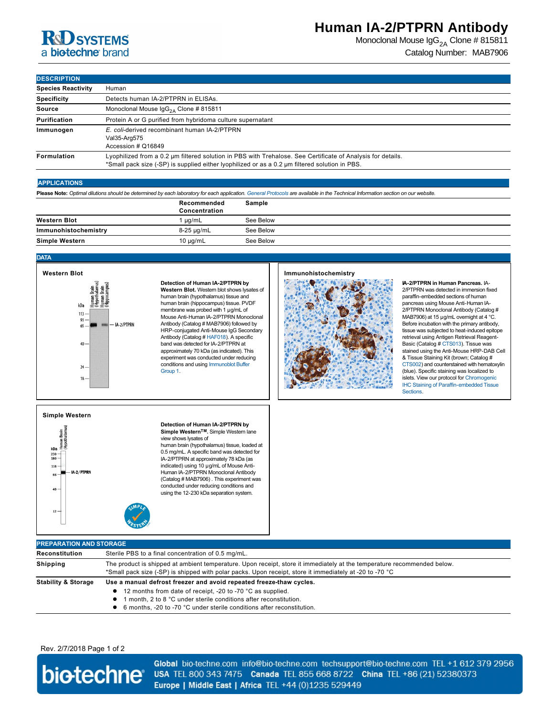# **RSD** SYSTEMS a biotechne brand

### **Human IA-2/PTPRN Antibody**

Monoclonal Mouse  $\text{lgG}_{2A}$  Clone # 815811 Catalog Number: MAB7906

**DESCRIPTION**

| <b>IDESCRIPTION</b>       |                                                                                                                                                                                                               |
|---------------------------|---------------------------------------------------------------------------------------------------------------------------------------------------------------------------------------------------------------|
| <b>Species Reactivity</b> | Human                                                                                                                                                                                                         |
| <b>Specificity</b>        | Detects human IA-2/PTPRN in ELISAs.                                                                                                                                                                           |
| Source                    | Monoclonal Mouse $\lg G_{2A}$ Clone # 815811                                                                                                                                                                  |
| Purification              | Protein A or G purified from hybridoma culture supernatant                                                                                                                                                    |
| Immunogen                 | E. coli-derived recombinant human IA-2/PTPRN<br>Val35-Arg575<br>Accession # Q16849                                                                                                                            |
| Formulation               | Lyophilized from a 0.2 µm filtered solution in PBS with Trehalose. See Certificate of Analysis for details.<br>*Small pack size (-SP) is supplied either lyophilized or as a 0.2 µm filtered solution in PBS. |

#### **APPLICATIONS**

**Please Note:** *Optimal dilutions should be determined by each laboratory for each application. [General Protocols](http://www.rndsystems.com/resources/protocols-troubleshooting-guides) are available in the Technical Information section on our website.*

|                       | Recommended<br>Concentration | Sample    |
|-----------------------|------------------------------|-----------|
| <b>Western Blot</b>   | $^4$ µg/mL                   | See Below |
| Immunohistochemistry  | 8-25 µg/mL                   | See Below |
| <b>Simple Western</b> | 10 $\mu$ g/mL                | See Below |

#### **DATA**



**Detection of Human IA-2/PTPRN by Western Blot.** Western blot shows lysates of human brain (hypothalamus) tissue and human brain (hippocampus) tissue. PVDF membrane was probed with 1 µg/mL of Mouse Anti-Human IA-2/PTPRN Monoclonal Antibody (Catalog # MAB7906) followed by HRP-conjugated Anti-Mouse IgG Secondary Antibody (Catalog # [HAF018\)](http://www.rndsystems.com/search?keywords=HAF018). A specific band was detected for IA-2/PTPRN at approximately 70 kDa (as indicated). This experiment was conducted under reducing [conditions and using Immunoblot Buffer](http://www.rndsystems.com/resources/technical/western-blot-conditions)  Group 1.

#### **Immunohistochemistry**



**IA2/PTPRN in Human Pancreas.** IA-2/PTPRN was detected in immersion fixed paraffin-embedded sections of human pancreas using Mouse Anti-Human IA-2/PTPRN Monoclonal Antibody (Catalog # MAB7906) at 15 µg/mL overnight at 4 °C. Before incubation with the primary antibody, tissue was subjected to heat-induced epitope retrieval using Antigen Retrieval Reagent-Basic (Catalog # [CTS013](http://www.rndsystems.com/search?keywords=CTS013)). Tissue was stained using the Anti-Mouse HRP-DAB Cell [& Tissue](http://www.rndsystems.com/search?keywords=CTS002) Staining Kit (brown; Catalog # CTS002) and counterstained with hematoxylin (blue). Specific staining was localized to islets. View our protocol for Chromogenic **IHC Staining of Paraffin-embedded Tissue Sections** 

#### **Simple Western**



**Detection of Human IA-2/PTPRN by Simple WesternTM.** Simple Western lane view shows lysates of

human brain (hypothalamus) tissue, loaded at 0.5 mg/mL. A specific band was detected for IA-2/PTPRN at approximately 78 kDa (as indicated) using 10 µg/mL of Mouse Anti-Human IA-2/PTPRN Monoclonal Antibody (Catalog # MAB7906) . This experiment was conducted under reducing conditions and using the 12-230 kDa separation system.

| <b>PREPARATION AND STORAGE</b> |                                                                                                                                                                                                                                    |  |  |
|--------------------------------|------------------------------------------------------------------------------------------------------------------------------------------------------------------------------------------------------------------------------------|--|--|
| Reconstitution                 | Sterile PBS to a final concentration of 0.5 mg/mL.                                                                                                                                                                                 |  |  |
| <b>Shipping</b>                | The product is shipped at ambient temperature. Upon receipt, store it immediately at the temperature recommended below.<br>*Small pack size (-SP) is shipped with polar packs. Upon receipt, store it immediately at -20 to -70 °C |  |  |
| <b>Stability &amp; Storage</b> | Use a manual defrost freezer and avoid repeated freeze-thaw cycles.<br>• 12 months from date of receipt, -20 to -70 °C as supplied.<br>I month, 2 to 8 °C under sterile conditions after reconstitution.                           |  |  |

● 6 months, -20 to -70 °C under sterile conditions after reconstitution.

### Rev. 2/7/2018 Page 1 of 2



Global bio-techne.com info@bio-techne.com techsupport@bio-techne.com TEL +1 612 379 2956 USA TEL 800 343 7475 Canada TEL 855 668 8722 China TEL +86 (21) 52380373 Europe | Middle East | Africa TEL +44 (0)1235 529449